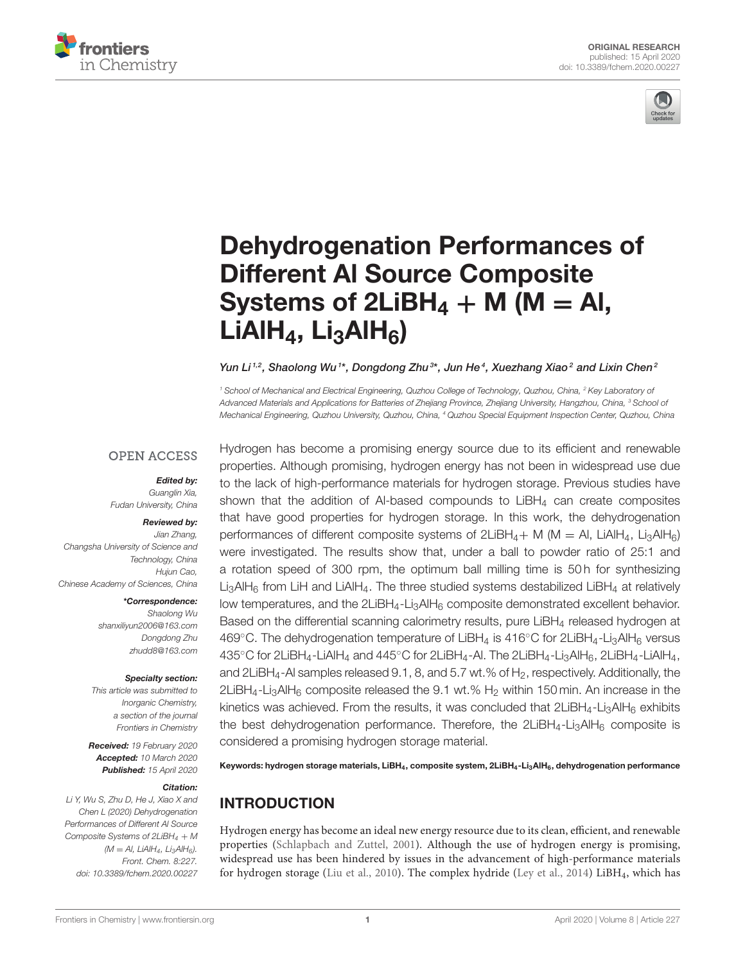



# [Dehydrogenation Performances of](https://www.frontiersin.org/articles/10.3389/fchem.2020.00227/full) Different Al Source Composite Systems of  $2LiBH<sub>4</sub> + M (M = Al,$  $LiAlH<sub>4</sub>, Li<sub>3</sub>AlH<sub>6</sub>$

[Yun Li](http://loop.frontiersin.org/people/911065/overview) $^{1,2}$ , Shaolong Wu  $^{\ast\ast}$ , [Dongdong Zhu](http://loop.frontiersin.org/people/912018/overview) $^{3\ast}$ , Jun He $^{4}$ , [Xuezhang Xiao](http://loop.frontiersin.org/people/839065/overview) $^{2}$  and Lixin Chen $^{2}$ 

*<sup>1</sup> School of Mechanical and Electrical Engineering, Quzhou College of Technology, Quzhou, China, <sup>2</sup> Key Laboratory of Advanced Materials and Applications for Batteries of Zhejiang Province, Zhejiang University, Hangzhou, China, <sup>3</sup> School of Mechanical Engineering, Quzhou University, Quzhou, China, <sup>4</sup> Quzhou Special Equipment Inspection Center, Quzhou, China*

### **OPEN ACCESS**

#### Edited by:

*Guanglin Xia, Fudan University, China*

#### Reviewed by:

*Jian Zhang, Changsha University of Science and Technology, China Hujun Cao, Chinese Academy of Sciences, China*

#### \*Correspondence:

*Shaolong Wu [shanxiliyun2006@163.com](mailto:shanxiliyun2006@163.com) Dongdong Zhu [zhudd8@163.com](mailto:zhudd8@163.com)*

#### Specialty section:

*This article was submitted to Inorganic Chemistry, a section of the journal Frontiers in Chemistry*

Received: *19 February 2020* Accepted: *10 March 2020* Published: *15 April 2020*

#### Citation:

*Li Y, Wu S, Zhu D, He J, Xiao X and Chen L (2020) Dehydrogenation Performances of Different Al Source Composite Systems of 2LiBH<sup>4</sup>* + *M (M* = *Al, LiAlH4, Li3AlH6). Front. Chem. 8:227. doi: [10.3389/fchem.2020.00227](https://doi.org/10.3389/fchem.2020.00227)* Hydrogen has become a promising energy source due to its efficient and renewable properties. Although promising, hydrogen energy has not been in widespread use due to the lack of high-performance materials for hydrogen storage. Previous studies have shown that the addition of Al-based compounds to  $L_iB H_4$  can create composites that have good properties for hydrogen storage. In this work, the dehydrogenation performances of different composite systems of  $2LiBH_4 + M$  (M = Al, LiAlH<sub>4</sub>, Li<sub>3</sub>AlH<sub>6</sub>) were investigated. The results show that, under a ball to powder ratio of 25:1 and a rotation speed of 300 rpm, the optimum ball milling time is 50 h for synthesizing  $Li<sub>3</sub>AlH<sub>6</sub>$  from LiH and LiAlH<sub>4</sub>. The three studied systems destabilized LiBH<sub>4</sub> at relatively low temperatures, and the  $2LiBH_4-Li_3AH_6$  composite demonstrated excellent behavior. Based on the differential scanning calorimetry results, pure LiBH<sub>4</sub> released hydrogen at 469◦C. The dehydrogenation temperature of LiBH<sup>4</sup> is 416◦C for 2LiBH4-Li3AlH<sup>6</sup> versus 435 $\degree$ C for 2LiBH<sub>4</sub>-LiAlH<sub>4</sub> and 445 $\degree$ C for 2LiBH<sub>4</sub>-Al. The 2LiBH<sub>4</sub>-Li<sub>3</sub>AlH<sub>6</sub>, 2LiBH<sub>4</sub>-LiAlH<sub>4</sub>, and  $2LiBH<sub>4</sub>$ -Al samples released  $9.1$ ,  $8$ , and  $5.7$  wt.% of  $H<sub>2</sub>$ , respectively. Additionally, the 2LiBH<sub>4</sub>-Li<sub>3</sub>AlH<sub>6</sub> composite released the 9.1 wt.% H<sub>2</sub> within 150 min. An increase in the kinetics was achieved. From the results, it was concluded that  $2LIBA<sub>4</sub>-Li<sub>3</sub>AlH<sub>6</sub>$  exhibits the best dehydrogenation performance. Therefore, the  $2LiBH<sub>4</sub>-Li<sub>3</sub>AIH<sub>6</sub>$  composite is considered a promising hydrogen storage material.

Keywords: hydrogen storage materials, LiBH<sub>4</sub>, composite system, 2LiBH<sub>4</sub>-Li<sub>3</sub>AlH<sub>6</sub>, dehydrogenation performance

# INTRODUCTION

Hydrogen energy has become an ideal new energy resource due to its clean, efficient, and renewable properties [\(Schlapbach and Zuttel, 2001\)](#page-5-0). Although the use of hydrogen energy is promising, widespread use has been hindered by issues in the advancement of high-performance materials for hydrogen storage [\(Liu et al., 2010\)](#page-5-1). The complex hydride [\(Ley et al., 2014\)](#page-5-2) LiBH4, which has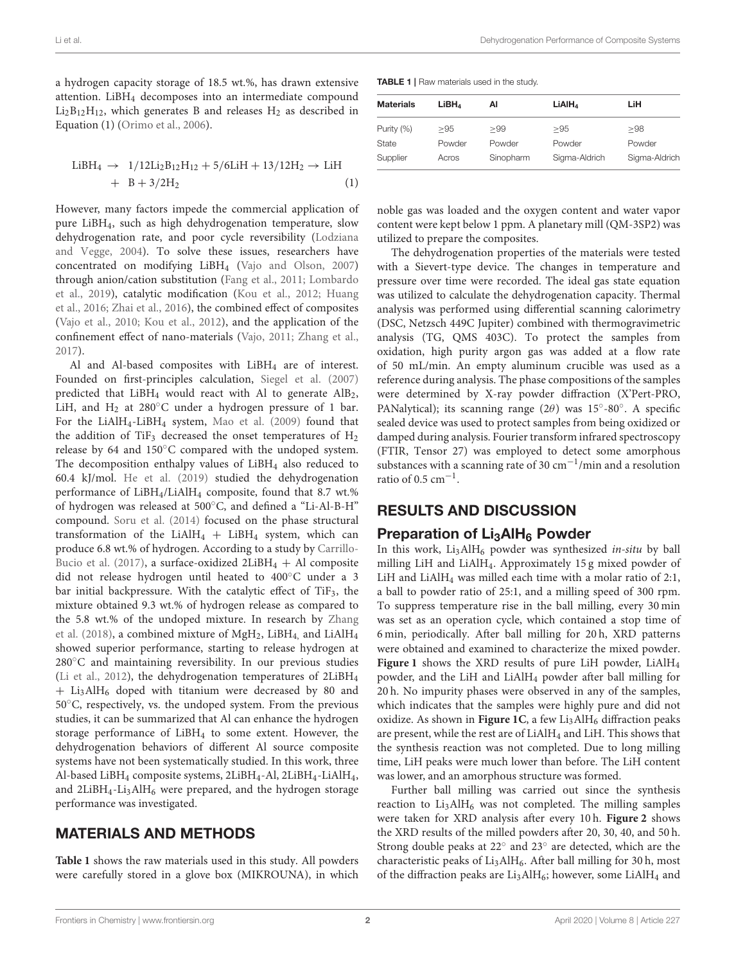a hydrogen capacity storage of 18.5 wt.%, has drawn extensive attention. LiBH<sup>4</sup> decomposes into an intermediate compound  $Li<sub>2</sub>B<sub>12</sub>H<sub>12</sub>$ , which generates B and releases  $H<sub>2</sub>$  as described in Equation (1) [\(Orimo et al., 2006\)](#page-5-3).

$$
\begin{array}{rcl} \rm{LiBH_4} \rightarrow & \rm{1/12Li_2B_{12}H_{12} + 5/6LiH + 13/12H_2 \rightarrow LiH} \\ & + & B + 3/2H_2 \end{array} \tag{1}
$$

However, many factors impede the commercial application of pure LiBH4, such as high dehydrogenation temperature, slow dehydrogenation rate, and poor cycle reversibility (Lodziana and Vegge, [2004\)](#page-5-4). To solve these issues, researchers have concentrated on modifying LiBH<sup>4</sup> [\(Vajo and Olson, 2007\)](#page-5-5) through anion/cation substitution [\(Fang et al., 2011;](#page-5-6) Lombardo et al., [2019\)](#page-5-7), catalytic modification [\(Kou et al., 2012;](#page-5-8) Huang et al., [2016;](#page-5-9) [Zhai et al., 2016\)](#page-5-10), the combined effect of composites [\(Vajo et al., 2010;](#page-5-11) [Kou et al., 2012\)](#page-5-8), and the application of the confinement effect of nano-materials [\(Vajo, 2011;](#page-5-12) [Zhang et al.,](#page-5-13) [2017\)](#page-5-13).

Al and Al-based composites with  $LiBH<sub>4</sub>$  are of interest. Founded on first-principles calculation, [Siegel et al. \(2007\)](#page-5-14) predicted that  $LiBH<sub>4</sub>$  would react with Al to generate  $AlB<sub>2</sub>$ , LiH, and  $H_2$  at 280 $\degree$ C under a hydrogen pressure of 1 bar. For the LiAlH4-LiBH<sup>4</sup> system, [Mao et al. \(2009\)](#page-5-15) found that the addition of TiF<sub>3</sub> decreased the onset temperatures of  $H_2$ release by 64 and 150◦C compared with the undoped system. The decomposition enthalpy values of LiBH<sub>4</sub> also reduced to 60.4 kJ/mol. [He et al. \(2019\)](#page-5-16) studied the dehydrogenation performance of LiBH<sub>4</sub>/LiAlH<sub>4</sub> composite, found that 8.7 wt.% of hydrogen was released at 500◦C, and defined a "Li-Al-B-H" compound. [Soru et al. \(2014\)](#page-5-17) focused on the phase structural transformation of the LiAlH $_4$  + LiBH $_4$  system, which can produce 6.8 wt.% of hydrogen. According to a study by Carrillo-Bucio et al. [\(2017\)](#page-5-18), a surface-oxidized  $2LiBH_4 + Al$  composite did not release hydrogen until heated to 400◦C under a 3 bar initial backpressure. With the catalytic effect of TiF<sub>3</sub>, the mixture obtained 9.3 wt.% of hydrogen release as compared to the 5.8 wt.% of the undoped mixture. In research by Zhang et al. [\(2018\)](#page-5-19), a combined mixture of  $MgH_2$ , LiBH<sub>4</sub> and LiAlH<sub>4</sub> showed superior performance, starting to release hydrogen at 280℃ and maintaining reversibility. In our previous studies [\(Li et al., 2012\)](#page-5-20), the dehydrogenation temperatures of 2LiBH<sup>4</sup> + Li3AlH<sup>6</sup> doped with titanium were decreased by 80 and 50◦C, respectively, vs. the undoped system. From the previous studies, it can be summarized that Al can enhance the hydrogen storage performance of LiBH<sup>4</sup> to some extent. However, the dehydrogenation behaviors of different Al source composite systems have not been systematically studied. In this work, three Al-based LiBH<sup>4</sup> composite systems, 2LiBH4-Al, 2LiBH4-LiAlH4, and  $2LiBH<sub>4</sub>-Li<sub>3</sub>AlH<sub>6</sub>$  were prepared, and the hydrogen storage performance was investigated.

## MATERIALS AND METHODS

**[Table 1](#page-1-0)** shows the raw materials used in this study. All powders were carefully stored in a glove box (MIKROUNA), in which

<span id="page-1-0"></span>TABLE 1 | Raw materials used in the study.

| <b>Materials</b> | LiBH <sub>4</sub> | ΑI        | LIAIH <sub>4</sub> | LiH           |
|------------------|-------------------|-----------|--------------------|---------------|
| Purity (%)       | >95               | >99       | >95                | >98           |
| State            | Powder            | Powder    | Powder             | Powder        |
| Supplier         | Acros             | Sinopharm | Sigma-Aldrich      | Sigma-Aldrich |

noble gas was loaded and the oxygen content and water vapor content were kept below 1 ppm. A planetary mill (QM-3SP2) was utilized to prepare the composites.

The dehydrogenation properties of the materials were tested with a Sievert-type device. The changes in temperature and pressure over time were recorded. The ideal gas state equation was utilized to calculate the dehydrogenation capacity. Thermal analysis was performed using differential scanning calorimetry (DSC, Netzsch 449C Jupiter) combined with thermogravimetric analysis (TG, QMS 403C). To protect the samples from oxidation, high purity argon gas was added at a flow rate of 50 mL/min. An empty aluminum crucible was used as a reference during analysis. The phase compositions of the samples were determined by X-ray powder diffraction (X'Pert-PRO, PANalytical); its scanning range (2θ) was 15°-80°. A specific sealed device was used to protect samples from being oxidized or damped during analysis. Fourier transform infrared spectroscopy (FTIR, Tensor 27) was employed to detect some amorphous substances with a scanning rate of 30 cm−<sup>1</sup> /min and a resolution ratio of  $0.5 \text{ cm}^{-1}$ .

## RESULTS AND DISCUSSION

## Preparation of  $Li<sub>3</sub>AIH<sub>6</sub>$  Powder

In this work,  $Li<sub>3</sub>AlH<sub>6</sub>$  powder was synthesized in-situ by ball milling LiH and LiAlH4. Approximately 15 g mixed powder of LiH and LiAlH<sup>4</sup> was milled each time with a molar ratio of 2:1, a ball to powder ratio of 25:1, and a milling speed of 300 rpm. To suppress temperature rise in the ball milling, every 30 min was set as an operation cycle, which contained a stop time of 6 min, periodically. After ball milling for 20 h, XRD patterns were obtained and examined to characterize the mixed powder. **[Figure 1](#page-2-0)** shows the XRD results of pure LiH powder, LiAlH<sup>4</sup> powder, and the LiH and LiAlH<sup>4</sup> powder after ball milling for 20 h. No impurity phases were observed in any of the samples, which indicates that the samples were highly pure and did not oxidize. As shown in [Figure 1C](#page-2-0), a few Li<sub>3</sub>AlH<sub>6</sub> diffraction peaks are present, while the rest are of LiAlH<sup>4</sup> and LiH. This shows that the synthesis reaction was not completed. Due to long milling time, LiH peaks were much lower than before. The LiH content was lower, and an amorphous structure was formed.

Further ball milling was carried out since the synthesis reaction to  $Li<sub>3</sub>AlH<sub>6</sub>$  was not completed. The milling samples were taken for XRD analysis after every 10 h. **[Figure 2](#page-2-1)** shows the XRD results of the milled powders after 20, 30, 40, and 50 h. Strong double peaks at 22◦ and 23◦ are detected, which are the characteristic peaks of Li<sub>3</sub>AlH<sub>6</sub>. After ball milling for 30 h, most of the diffraction peaks are  $Li<sub>3</sub>AlH<sub>6</sub>$ ; however, some  $LiAlH<sub>4</sub>$  and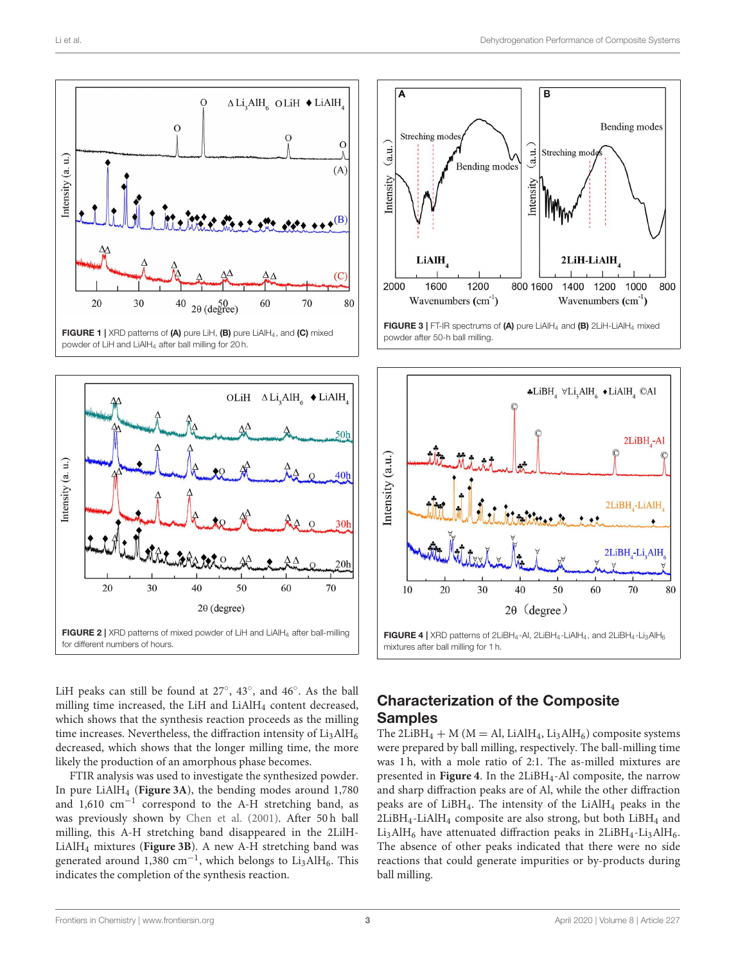

<span id="page-2-0"></span>

 $\overline{\mathbf{B}}$ ℿ **Bending modes** Streching mode (a.u. Streching mod  $(a.u.$ Bending modes ntensity ntensity **LiAlH** 2LiH-LiAlH 2000 1600 1200 800 1600 1000 800 1400 1200 Wavenumbers  $(cm<sup>-1</sup>)$ Wavenumbers  $(cm<sup>-1</sup>)$ FIGURE 3 | FT-IR spectrums of (A) pure LiAlH<sup>4</sup> and (B) 2LiH-LiAlH<sup>4</sup> mixed powder after 50-h ball milling.

<span id="page-2-2"></span>

<span id="page-2-1"></span>LiH peaks can still be found at  $27^\circ$ ,  $43^\circ$ , and  $46^\circ$ . As the ball milling time increased, the LiH and LiAlH<sub>4</sub> content decreased, which shows that the synthesis reaction proceeds as the milling time increases. Nevertheless, the diffraction intensity of  $Li<sub>3</sub>AlH<sub>6</sub>$ decreased, which shows that the longer milling time, the more likely the production of an amorphous phase becomes.

FTIR analysis was used to investigate the synthesized powder. In pure LiAlH<sup>4</sup> (**[Figure 3A](#page-2-2)**), the bending modes around 1,780 and 1,610 cm−<sup>1</sup> correspond to the A-H stretching band, as was previously shown by [Chen et al. \(2001\)](#page-5-21). After 50 h ball milling, this A-H stretching band disappeared in the 2LilH-LiAlH<sup>4</sup> mixtures (**[Figure 3B](#page-2-2)**). A new A-H stretching band was generated around  $1,380$  cm<sup>-1</sup>, which belongs to Li3AlH<sub>6</sub>. This indicates the completion of the synthesis reaction.

## <span id="page-2-3"></span>Characterization of the Composite Samples

The 2LiBH<sub>4</sub> + M ( $M = A$ l, LiAlH<sub>4</sub>, Li<sub>3</sub>AlH<sub>6</sub>) composite systems were prepared by ball milling, respectively. The ball-milling time was 1 h, with a mole ratio of 2:1. The as-milled mixtures are presented in [Figure 4](#page-2-3). In the 2LiBH<sub>4</sub>-Al composite, the narrow and sharp diffraction peaks are of Al, while the other diffraction peaks are of  $LiBH<sub>4</sub>$ . The intensity of the  $LiAlH<sub>4</sub>$  peaks in the  $2LiBH<sub>4</sub>-LiAlH<sub>4</sub>$  composite are also strong, but both  $LiBH<sub>4</sub>$  and  $Li<sub>3</sub>AlH<sub>6</sub>$  have attenuated diffraction peaks in 2LiBH<sub>4</sub>-Li<sub>3</sub>AlH<sub>6</sub>. The absence of other peaks indicated that there were no side reactions that could generate impurities or by-products during ball milling.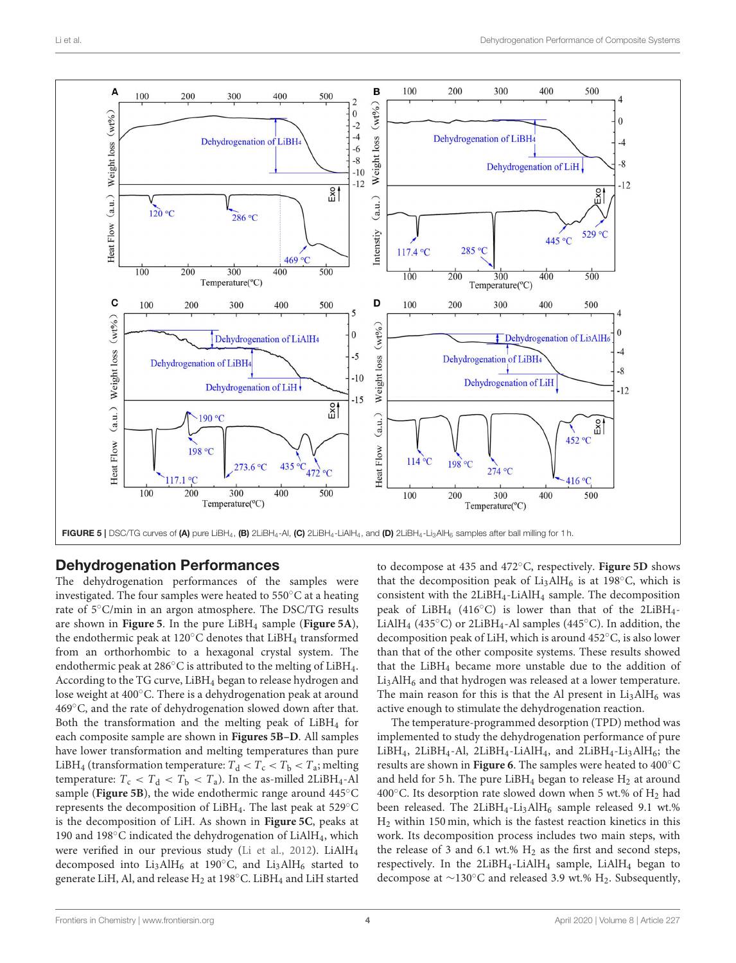$-12$ 





# <span id="page-3-0"></span>Dehydrogenation Performances

The dehydrogenation performances of the samples were investigated. The four samples were heated to 550◦C at a heating rate of 5◦C/min in an argon atmosphere. The DSC/TG results are shown in **[Figure 5](#page-3-0)**. In the pure LiBH<sup>4</sup> sample (**[Figure 5A](#page-3-0)**), the endothermic peak at 120 $^{\circ}$ C denotes that LiBH<sub>4</sub> transformed from an orthorhombic to a hexagonal crystal system. The endothermic peak at 286℃ is attributed to the melting of LiBH<sub>4</sub>. According to the TG curve, LiBH<sup>4</sup> began to release hydrogen and lose weight at 400◦C. There is a dehydrogenation peak at around 469◦C, and the rate of dehydrogenation slowed down after that. Both the transformation and the melting peak of  $LiBH<sub>4</sub>$  for each composite sample are shown in **[Figures 5B–D](#page-3-0)**. All samples have lower transformation and melting temperatures than pure LiBH<sub>4</sub> (transformation temperature:  $T_d < T_c < T_b < T_a$ ; melting temperature:  $T_c < T_d < T_b < T_a$ ). In the as-milled 2LiBH<sub>4</sub>-Al sample ([Figure 5B](#page-3-0)), the wide endothermic range around 445°C represents the decomposition of LiBH4. The last peak at 529◦C is the decomposition of LiH. As shown in **[Figure 5C](#page-3-0)**, peaks at 190 and 198℃ indicated the dehydrogenation of LiAlH<sub>4</sub>, which were verified in our previous study [\(Li et al., 2012\)](#page-5-20). LiAlH<sub>4</sub> decomposed into Li<sub>3</sub>AlH<sub>6</sub> at 190 $^{\circ}$ C, and Li<sub>3</sub>AlH<sub>6</sub> started to generate LiH, Al, and release H<sub>2</sub> at 198℃. LiBH<sub>4</sub> and LiH started

to decompose at 435 and 472◦C, respectively. **[Figure 5D](#page-3-0)** shows that the decomposition peak of  $Li<sub>3</sub>AlH<sub>6</sub>$  is at 198 $°C$ , which is consistent with the 2LiBH4-LiAlH<sup>4</sup> sample. The decomposition peak of LiBH<sub>4</sub> (416 $\degree$ C) is lower than that of the 2LiBH<sub>4</sub>-LiAlH<sub>4</sub> (435°C) or 2LiBH<sub>4</sub>-Al samples (445°C). In addition, the decomposition peak of LiH, which is around 452◦C, is also lower than that of the other composite systems. These results showed that the LiBH<sup>4</sup> became more unstable due to the addition of  $Li<sub>3</sub>AlH<sub>6</sub>$  and that hydrogen was released at a lower temperature. The main reason for this is that the Al present in  $Li<sub>3</sub>AlH<sub>6</sub>$  was active enough to stimulate the dehydrogenation reaction.

The temperature-programmed desorption (TPD) method was implemented to study the dehydrogenation performance of pure LiBH<sub>4</sub>, 2LiBH<sub>4</sub>-Al, 2LiBH<sub>4</sub>-LiAlH<sub>4</sub>, and 2LiBH<sub>4</sub>-Li<sub>3</sub>AlH<sub>6</sub>; the results are shown in **[Figure 6](#page-4-0)**. The samples were heated to 400◦C and held for 5 h. The pure LiBH<sub>4</sub> began to release  $H_2$  at around 400 $^{\circ}$ C. Its desorption rate slowed down when 5 wt.% of H<sub>2</sub> had been released. The  $2LiBH_4-Li_3AlH_6$  sample released 9.1 wt.% H<sup>2</sup> within 150 min, which is the fastest reaction kinetics in this work. Its decomposition process includes two main steps, with the release of 3 and 6.1 wt.%  $H_2$  as the first and second steps, respectively. In the 2LiBH4-LiAlH<sup>4</sup> sample, LiAlH<sup>4</sup> began to decompose at  $\sim$ 130°C and released 3.9 wt.% H<sub>2</sub>. Subsequently,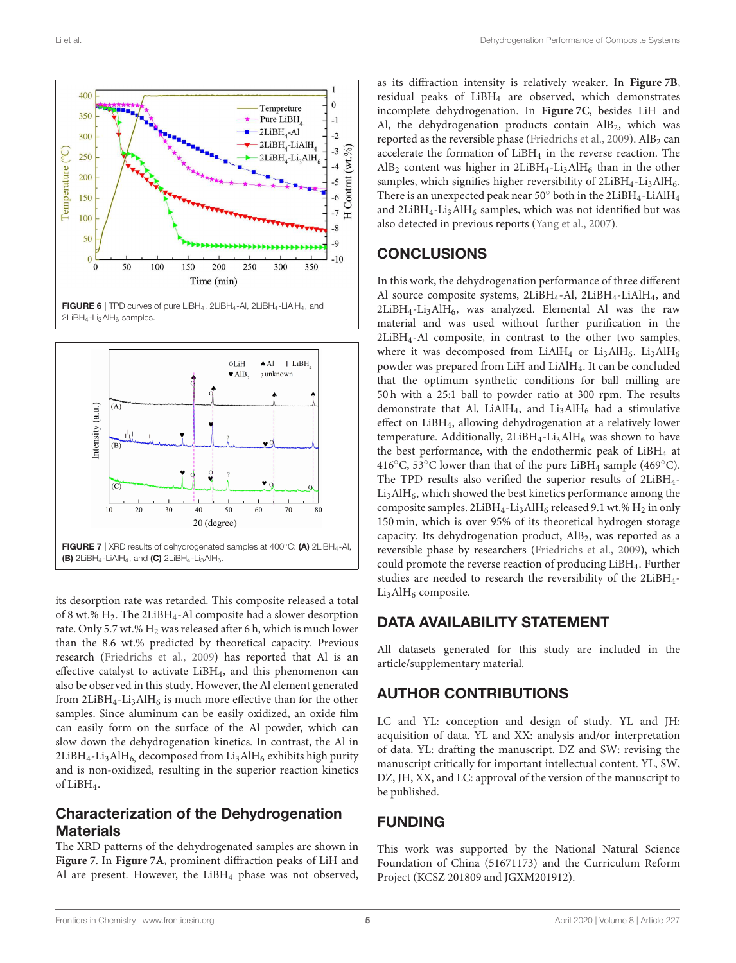

<span id="page-4-0"></span> $2LiBH<sub>4</sub>-Li<sub>3</sub>AlH<sub>6</sub> samples.$ 



<span id="page-4-1"></span>its desorption rate was retarded. This composite released a total of 8 wt.% H2. The 2LiBH4-Al composite had a slower desorption rate. Only 5.7 wt.% H<sub>2</sub> was released after 6 h, which is much lower than the 8.6 wt.% predicted by theoretical capacity. Previous research [\(Friedrichs et al., 2009\)](#page-5-22) has reported that Al is an effective catalyst to activate LiBH4, and this phenomenon can also be observed in this study. However, the Al element generated from  $2LiBH<sub>4</sub>-Li<sub>3</sub>AlH<sub>6</sub>$  is much more effective than for the other samples. Since aluminum can be easily oxidized, an oxide film can easily form on the surface of the Al powder, which can slow down the dehydrogenation kinetics. In contrast, the Al in  $2LiBH<sub>4</sub>-Li<sub>3</sub>AlH<sub>6</sub>$ , decomposed from  $Li<sub>3</sub>AlH<sub>6</sub>$  exhibits high purity and is non-oxidized, resulting in the superior reaction kinetics of LiBH4.

## Characterization of the Dehydrogenation **Materials**

The XRD patterns of the dehydrogenated samples are shown in **[Figure 7](#page-4-1)**. In **[Figure 7A](#page-4-1)**, prominent diffraction peaks of LiH and Al are present. However, the  $LiBH<sub>4</sub>$  phase was not observed, as its diffraction intensity is relatively weaker. In **[Figure 7B](#page-4-1)**, residual peaks of LiBH<sup>4</sup> are observed, which demonstrates incomplete dehydrogenation. In **[Figure 7C](#page-4-1)**, besides LiH and Al, the dehydrogenation products contain  $\text{AlB}_2$ , which was reported as the reversible phase [\(Friedrichs et al., 2009\)](#page-5-22).  $\text{AlB}_2$  can accelerate the formation of LiBH<sup>4</sup> in the reverse reaction. The  $AlB_2$  content was higher in  $2LiBH_4$ -Li<sub>3</sub>AlH<sub>6</sub> than in the other samples, which signifies higher reversibility of  $2LiBH<sub>4</sub>-Li<sub>3</sub>AlH<sub>6</sub>$ . There is an unexpected peak near  $50^{\circ}$  both in the 2LiBH<sub>4</sub>-LiAlH<sub>4</sub> and  $2LiBH<sub>4</sub>-Li<sub>3</sub>AlH<sub>6</sub>$  samples, which was not identified but was also detected in previous reports [\(Yang et al., 2007\)](#page-5-23).

## **CONCLUSIONS**

In this work, the dehydrogenation performance of three different Al source composite systems, 2LiBH4-Al, 2LiBH4-LiAlH4, and  $2LiBH<sub>4</sub>-Li<sub>3</sub>AlH<sub>6</sub>$ , was analyzed. Elemental Al was the raw material and was used without further purification in the 2LiBH4-Al composite, in contrast to the other two samples, where it was decomposed from LiAlH<sub>4</sub> or Li<sub>3</sub>AlH<sub>6</sub>. Li<sub>3</sub>AlH<sub>6</sub> powder was prepared from LiH and LiAlH4. It can be concluded that the optimum synthetic conditions for ball milling are 50 h with a 25:1 ball to powder ratio at 300 rpm. The results demonstrate that Al, LiAlH<sub>4</sub>, and Li<sub>3</sub>AlH<sub>6</sub> had a stimulative effect on LiBH4, allowing dehydrogenation at a relatively lower temperature. Additionally,  $2LiBH<sub>4</sub>-Li<sub>3</sub>AlH<sub>6</sub>$  was shown to have the best performance, with the endothermic peak of  $LiBH<sub>4</sub>$  at 416 $\rm ^{\circ}C$ , 53 $\rm ^{\circ}C$  lower than that of the pure LiBH<sub>4</sub> sample (469 $\rm ^{\circ}C$ ). The TPD results also verified the superior results of 2LiBH4-  $Li<sub>3</sub>AlH<sub>6</sub>$ , which showed the best kinetics performance among the composite samples.  $2LiBH_4$ -Li<sub>3</sub>AlH<sub>6</sub> released 9.1 wt.% H<sub>2</sub> in only 150 min, which is over 95% of its theoretical hydrogen storage capacity. Its dehydrogenation product,  $\text{AlB}_2$ , was reported as a reversible phase by researchers [\(Friedrichs et al., 2009\)](#page-5-22), which could promote the reverse reaction of producing LiBH4. Further studies are needed to research the reversibility of the 2LiBH4-  $Li<sub>3</sub>AlH<sub>6</sub>$  composite.

## DATA AVAILABILITY STATEMENT

All datasets generated for this study are included in the article/supplementary material.

## AUTHOR CONTRIBUTIONS

LC and YL: conception and design of study. YL and JH: acquisition of data. YL and XX: analysis and/or interpretation of data. YL: drafting the manuscript. DZ and SW: revising the manuscript critically for important intellectual content. YL, SW, DZ, JH, XX, and LC: approval of the version of the manuscript to be published.

# FUNDING

This work was supported by the National Natural Science Foundation of China (51671173) and the Curriculum Reform Project (KCSZ 201809 and JGXM201912).